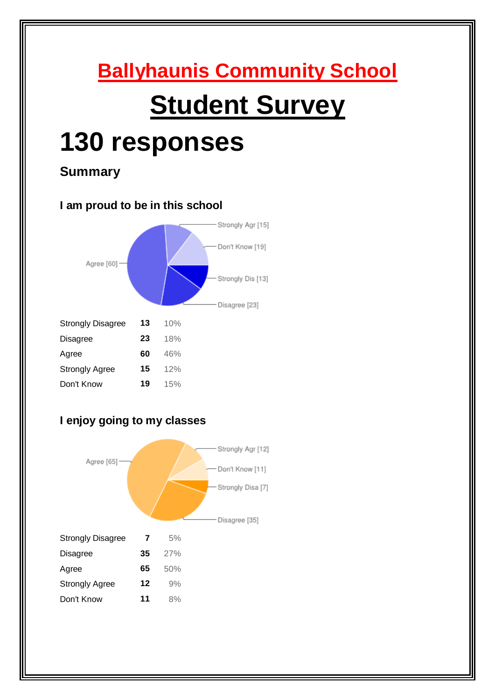# **Ballyhaunis Community School Student Survey 130 responses Summary I am proud to be in this school** Strongly Agr [15] Don't Know [19] Agree [60] -Strongly Dis [13] sagree [23]

|                          |    |     | Dis |
|--------------------------|----|-----|-----|
| <b>Strongly Disagree</b> | 13 | 10% |     |
| <b>Disagree</b>          | 23 | 18% |     |
| Agree                    | 60 | 46% |     |
| <b>Strongly Agree</b>    | 15 | 12% |     |
| Don't Know               | 19 | 15% |     |

## **I enjoy going to my classes**

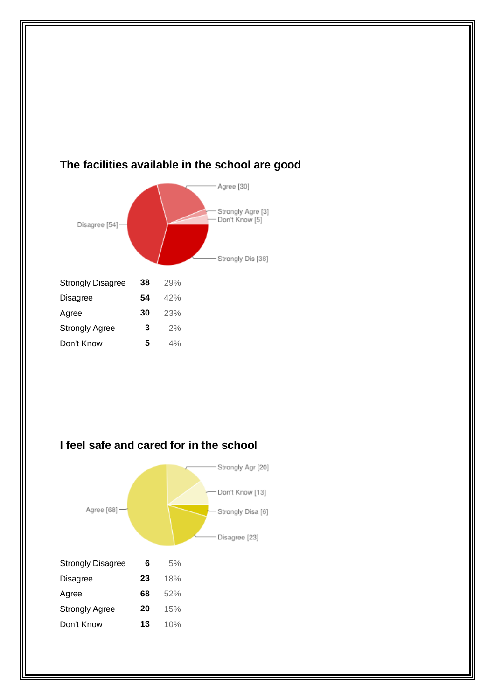

#### **The facilities available in the school are good**

**I feel safe and cared for in the school**

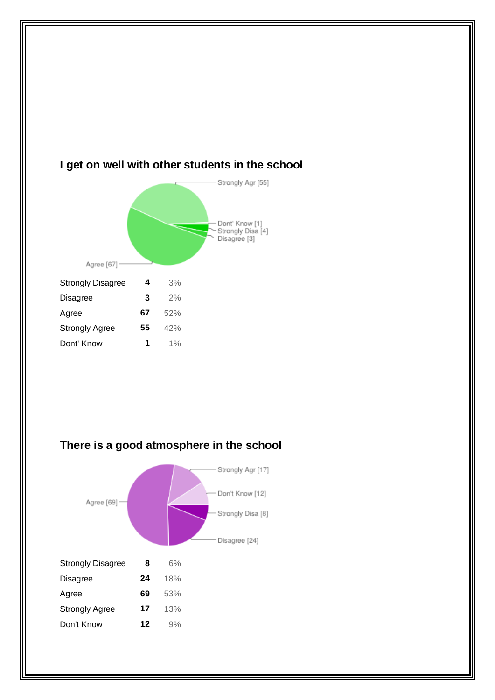

### **I get on well with other students in the school**



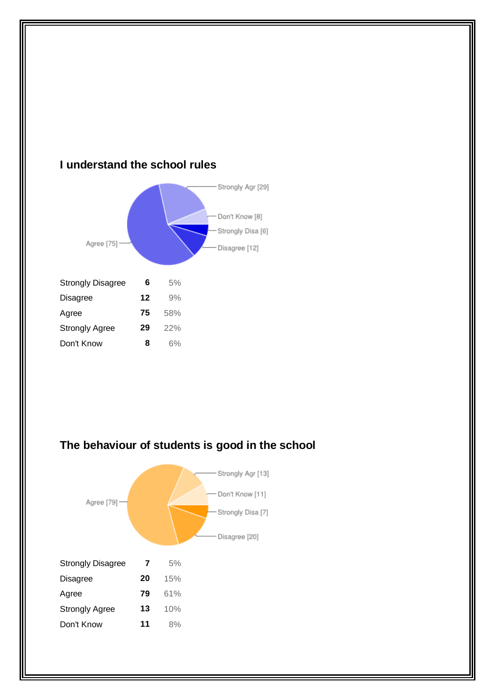

#### **I understand the school rules**



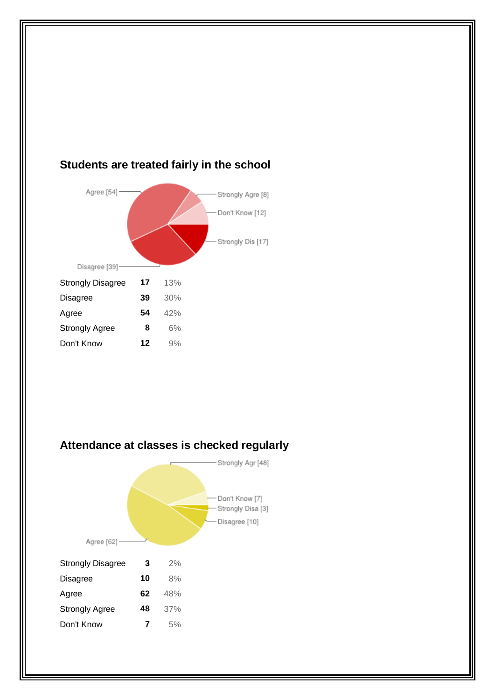

#### **Students are treated fairly in the school**

#### **Attendance at classes is checked regularly**

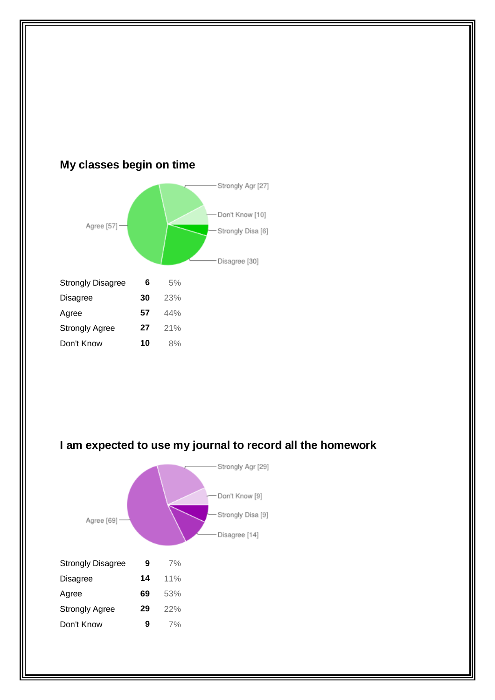

## **My classes begin on time**



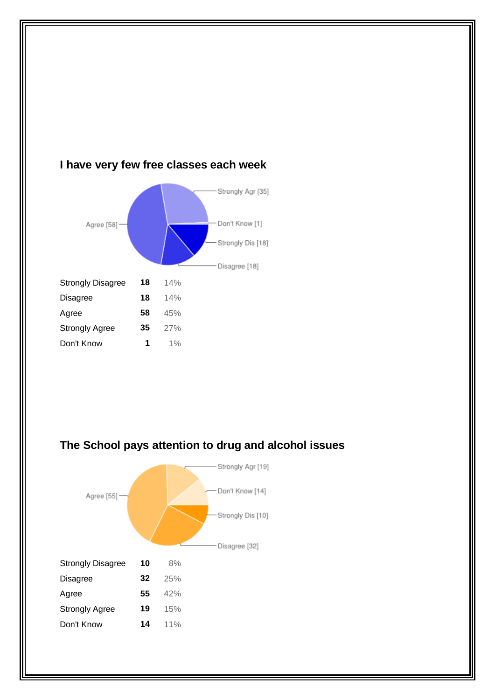

#### **I have very few free classes each week**



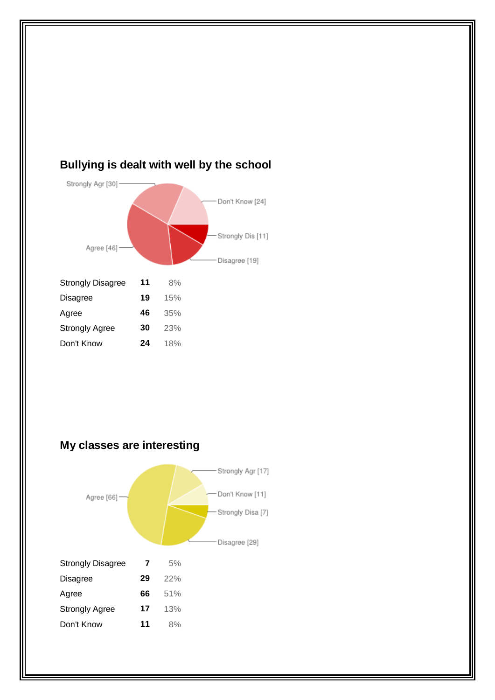

#### **Bullying is dealt with well by the school**

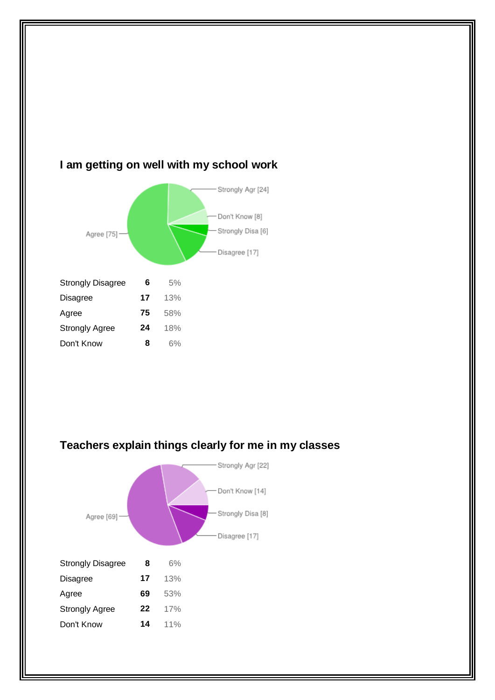

#### **I am getting on well with my school work**



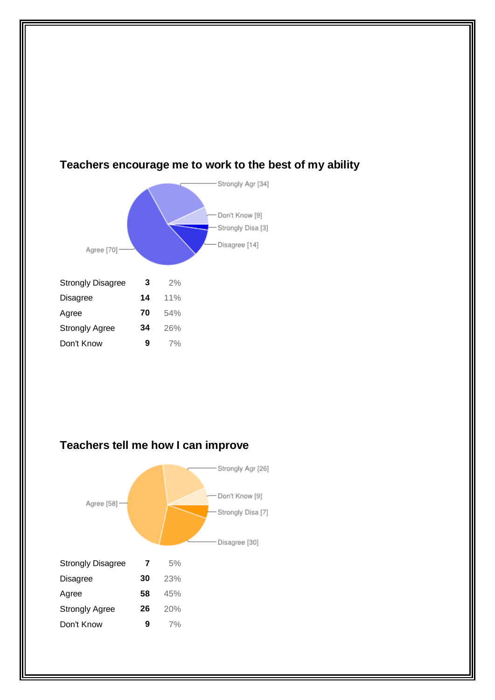

#### **Teachers encourage me to work to the best of my ability**

#### **Teachers tell me how I can improve**

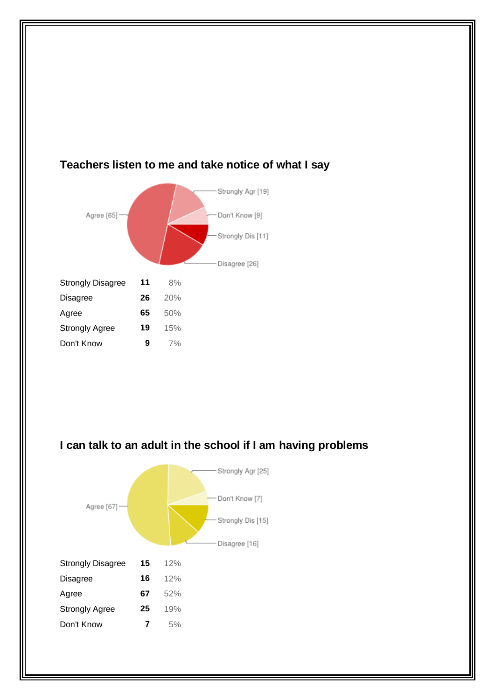

## **Teachers listen to me and take notice of what I say**



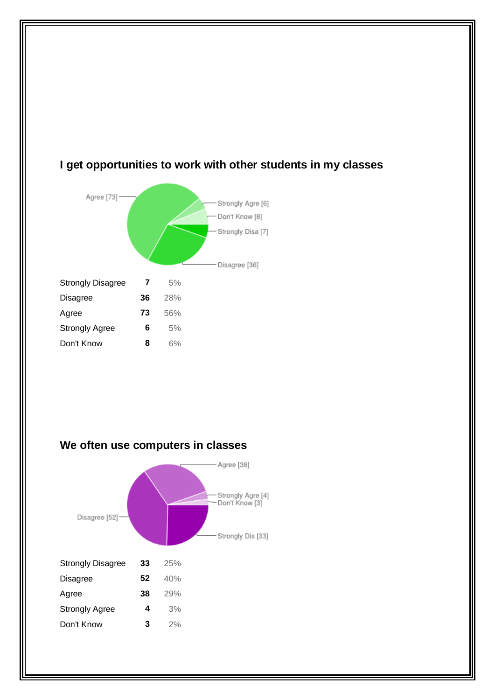

## **I get opportunities to work with other students in my classes**



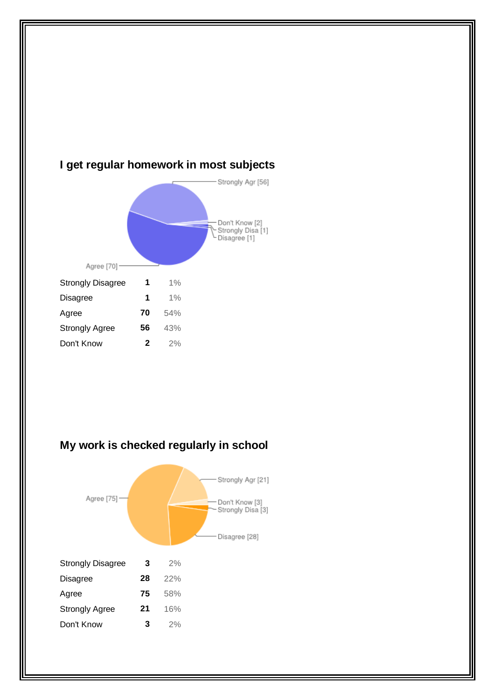

#### **I get regular homework in most subjects**



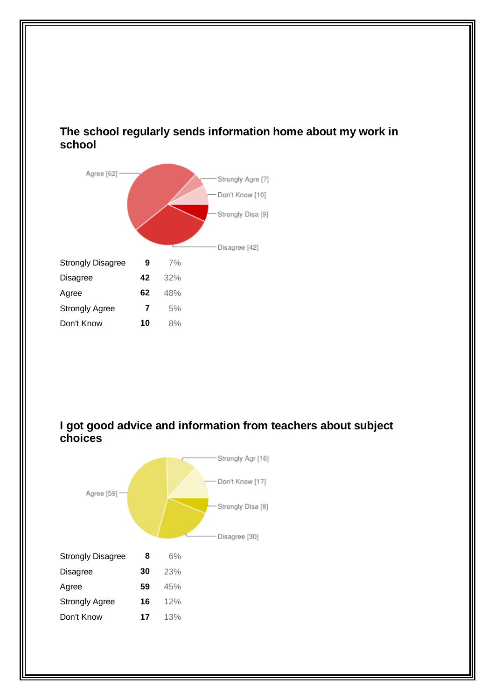#### **The school regularly sends information home about my work in school**



#### **I got good advice and information from teachers about subject choices**